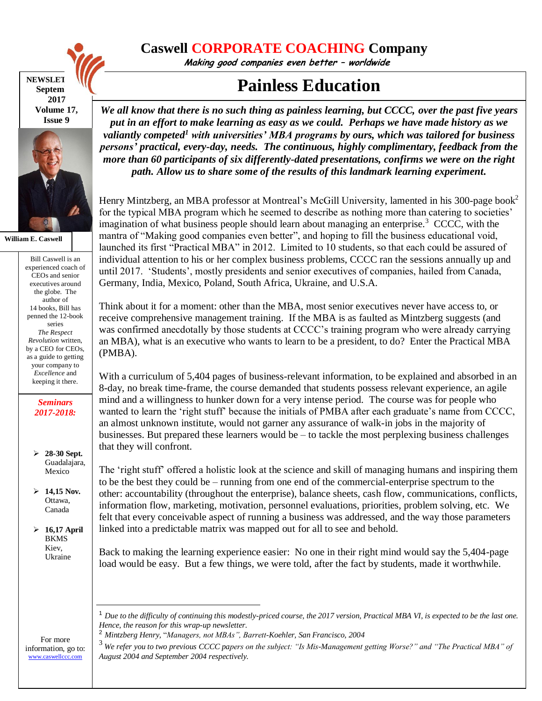

**NEWSLET Septem 2017 Volume 17, Issue 9**



**William E. Caswell**

Bill Caswell is an experienced coach of CEOs and senior executives around the globe. The author of 14 books, Bill has penned the 12-book series *The Respect Revolution* written, by a CEO for CEOs, as a guide to getting your company to *Excellence* and keeping it there.

> *Seminars 2017-2018:*

 **28-30 Sept.**  Guadalajara, Mexico

 **14,15 Nov.** Ottawa, Canada

 **16,17 April**  BKMS Kiev, Ukraine

## **Caswell CORPORATE COACHING Company**

**Making good companies even better – worldwide**

## **Painless Education**

*We all know that there is no such thing as painless learning, but CCCC, over the past five years put in an effort to make learning as easy as we could. Perhaps we have made history as we valiantly competed <sup>1</sup> with universities' MBA programs by ours, which was tailored for business persons' practical, every-day, needs. The continuous, highly complimentary, feedback from the more than 60 participants of six differently-dated presentations, confirms we were on the right path. Allow us to share some of the results of this landmark learning experiment.*

Henry Mintzberg, an MBA professor at Montreal's McGill University, lamented in his 300-page book<sup>2</sup> for the typical MBA program which he seemed to describe as nothing more than catering to societies' imagination of what business people should learn about managing an enterprise.<sup>3</sup> CCCC, with the mantra of "Making good companies even better", and hoping to fill the business educational void, launched its first "Practical MBA" in 2012. Limited to 10 students, so that each could be assured of individual attention to his or her complex business problems, CCCC ran the sessions annually up and until 2017. 'Students', mostly presidents and senior executives of companies, hailed from Canada, Germany, India, Mexico, Poland, South Africa, Ukraine, and U.S.A.

Think about it for a moment: other than the MBA, most senior executives never have access to, or receive comprehensive management training. If the MBA is as faulted as Mintzberg suggests (and was confirmed anecdotally by those students at CCCC's training program who were already carrying an MBA), what is an executive who wants to learn to be a president, to do? Enter the Practical MBA (PMBA).

With a curriculum of 5,404 pages of business-relevant information, to be explained and absorbed in an 8-day, no break time-frame, the course demanded that students possess relevant experience, an agile mind and a willingness to hunker down for a very intense period. The course was for people who wanted to learn the 'right stuff' because the initials of PMBA after each graduate's name from CCCC, an almost unknown institute, would not garner any assurance of walk-in jobs in the majority of businesses. But prepared these learners would be  $-$  to tackle the most perplexing business challenges that they will confront.

The 'right stuff' offered a holistic look at the science and skill of managing humans and inspiring them to be the best they could be – running from one end of the commercial-enterprise spectrum to the other: accountability (throughout the enterprise), balance sheets, cash flow, communications, conflicts, information flow, marketing, motivation, personnel evaluations, priorities, problem solving, etc. We felt that every conceivable aspect of running a business was addressed, and the way those parameters linked into a predictable matrix was mapped out for all to see and behold.

Back to making the learning experience easier: No one in their right mind would say the 5,404-page load would be easy. But a few things, we were told, after the fact by students, made it worthwhile.

For more information, go to: [www.caswellccc.com](http://www.caswellccc.com/)

<sup>1</sup> *Due to the difficulty of continuing this modestly-priced course, the 2017 version, Practical MBA VI, is expected to be the last one. Hence, the reason for this wrap-up newsletter.*

<sup>2</sup> *Mintzberg Henry,* "*Managers, not MBAs", Barrett-Koehler, San Francisco, 2004*

<sup>3</sup> *We refer you to two previous CCCC papers on the subject: "Is Mis-Management getting Worse?" and "The Practical MBA" of August 2004 and September 2004 respectively.*